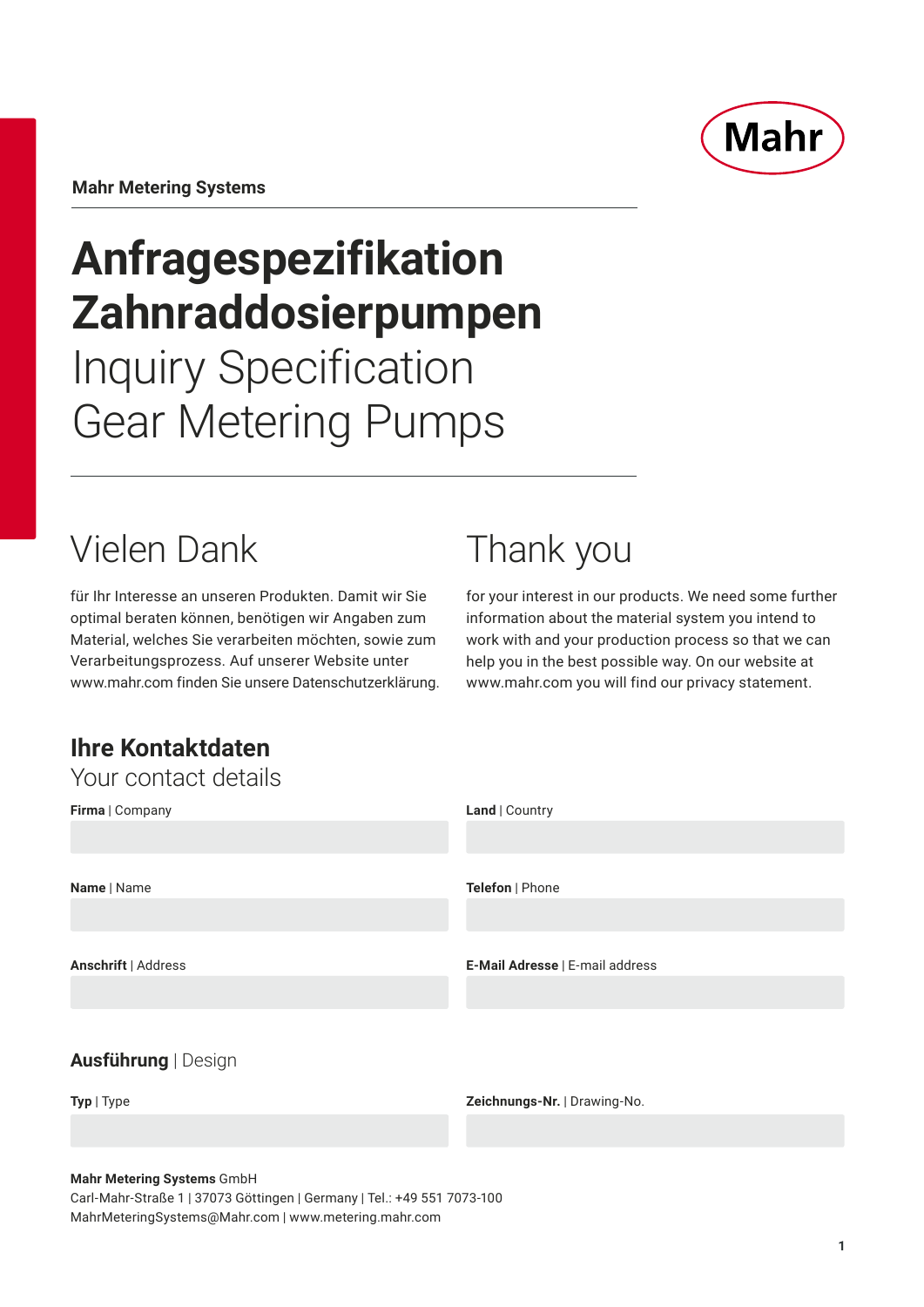

**Mahr Metering Systems**

# **Anfragespezifikation Zahnraddosierpumpen** Inquiry Specification Gear Metering Pumps

# Vielen Dank

für Ihr Interesse an unseren Produkten. Damit wir Sie optimal beraten können, benötigen wir Angaben zum Material, welches Sie verarbeiten möchten, sowie zum Verarbeitungsprozess. Auf unserer Website unter www.mahr.com finden Sie unsere Datenschutzerklärung.

# Thank you

for your interest in our products. We need some further information about the material system you intend to work with and your production process so that we can help you in the best possible way. On our website at www.mahr.com you will find our privacy statement.

## **Ihre Kontaktdaten** Your contact details

| TUUL UUTILAUL UULAIIJ      |                                 |
|----------------------------|---------------------------------|
| Firma   Company            | Land   Country                  |
|                            |                                 |
| Name   Name                | Telefon   Phone                 |
|                            |                                 |
|                            |                                 |
| Anschrift   Address        | E-Mail Adresse   E-mail address |
|                            |                                 |
| <b>Ausführung   Design</b> |                                 |
| Typ   Type                 | Zeichnungs-Nr.   Drawing-No.    |

#### **Mahr Metering Systems** GmbH

Carl-Mahr-Straße 1 | 37073 Göttingen | Germany | Tel.: +49 551 7073-100 MahrMeteringSystems@Mahr.com | www.metering.mahr.com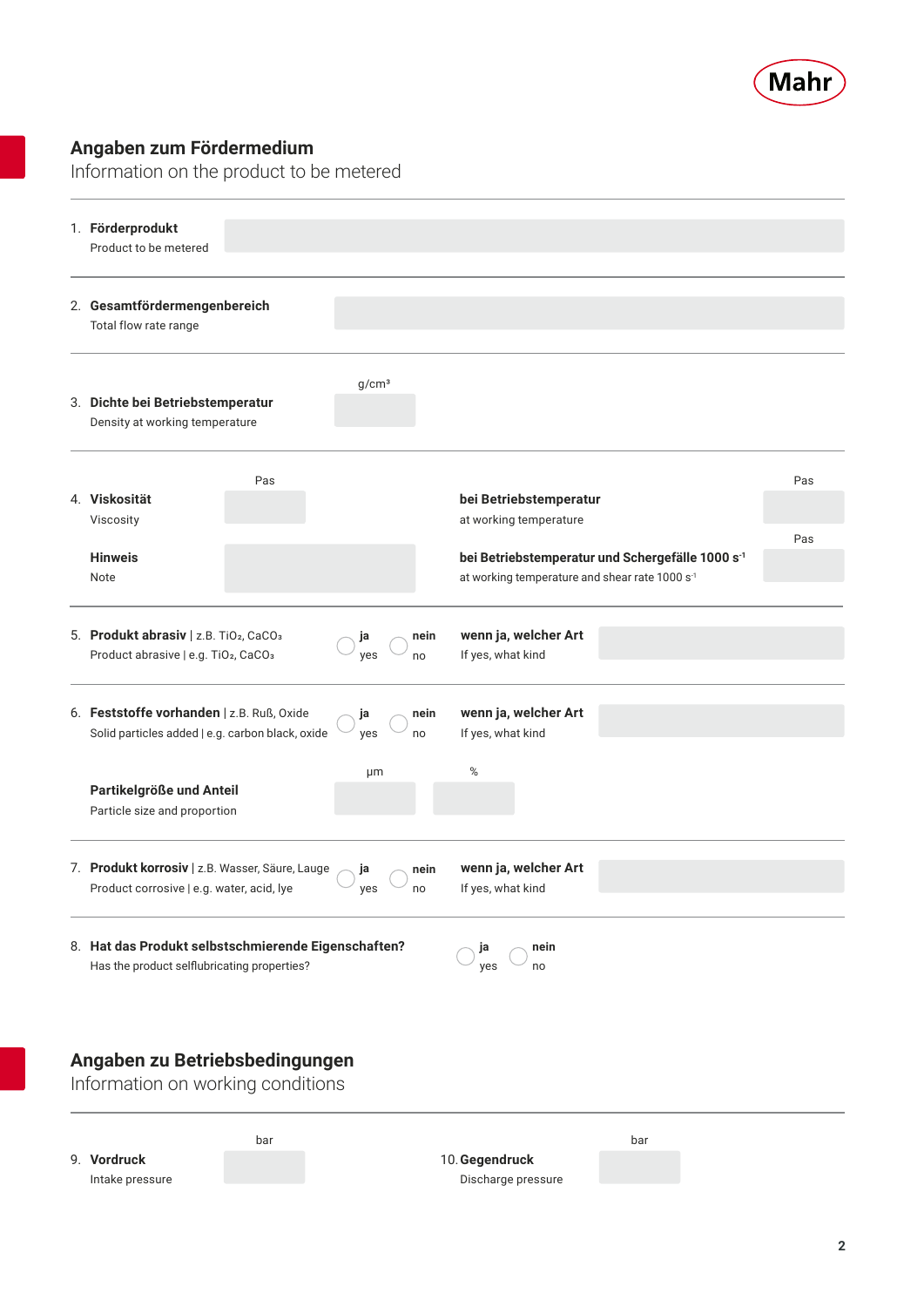

### **Angaben zum Fördermedium**

Intake pressure

Information on the product to be metered



Discharge pressure